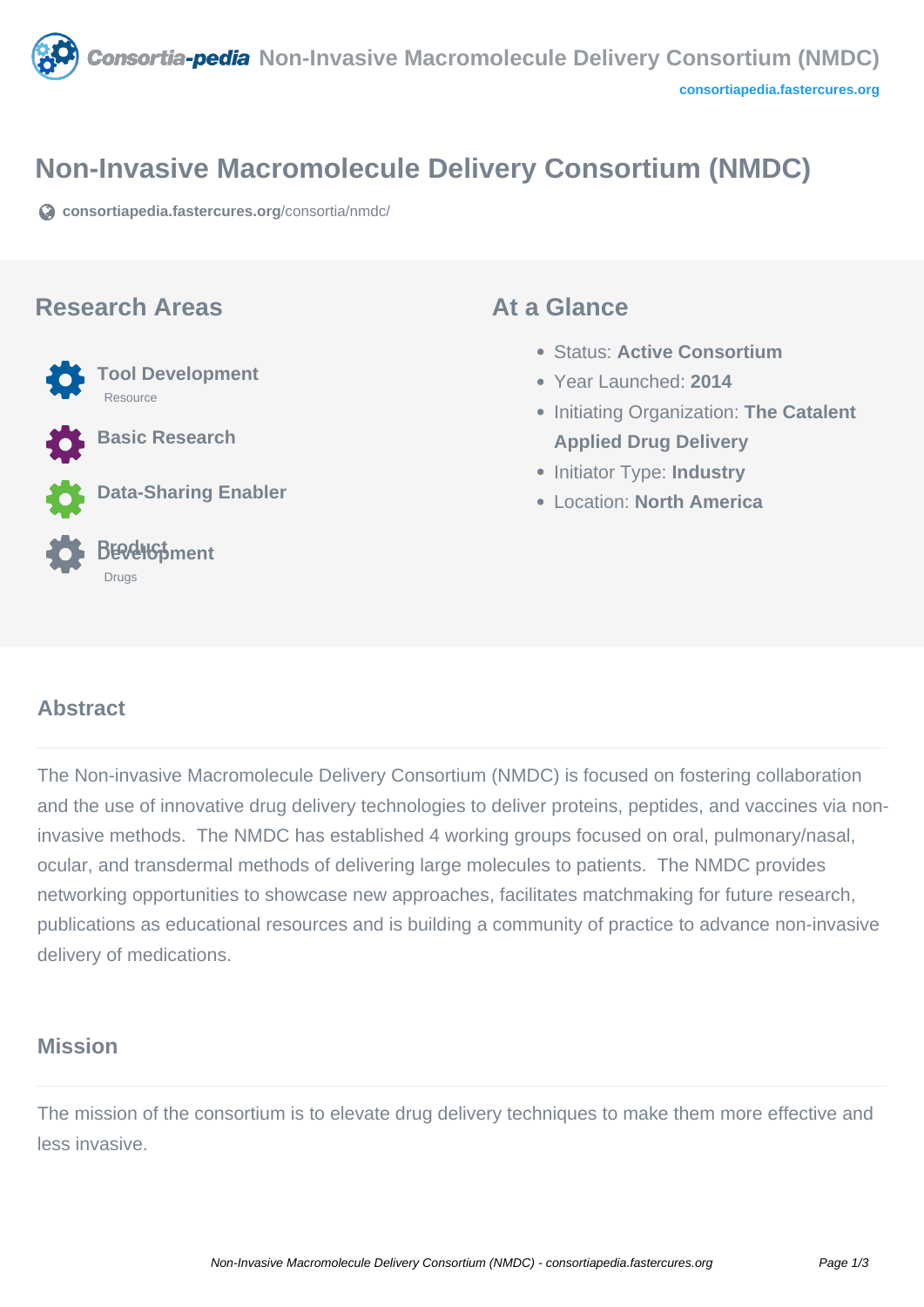

## **Non-Invasive Macromolecule Delivery Consortium (NMDC)**

**[consortiapedia.fastercures.org](https://consortiapedia.fastercures.org/consortia/nmdc/)**[/consortia/nmdc/](https://consortiapedia.fastercures.org/consortia/nmdc/)

#### **Research Areas**



**Basic Research**

**Data-Sharing Enabler**

#### **Product Development** Drugs

#### **At a Glance**

- Status: **Active Consortium**
- Year Launched: **2014**
- **Initiating Organization: The Catalent Applied Drug Delivery**
- **Initiator Type: Industry**
- Location: **North America**

#### $\overline{a}$ **Abstract**

The Non-invasive Macromolecule Delivery Consortium (NMDC) is focused on fostering collaboration and the use of innovative drug delivery technologies to deliver proteins, peptides, and vaccines via noninvasive methods. The NMDC has established 4 working groups focused on oral, pulmonary/nasal, ocular, and transdermal methods of delivering large molecules to patients. The NMDC provides networking opportunities to showcase new approaches, facilitates matchmaking for future research, publications as educational resources and is building a community of practice to advance non-invasive delivery of medications.

### **Mission**

The mission of the consortium is to elevate drug delivery techniques to make them more effective and less invasive.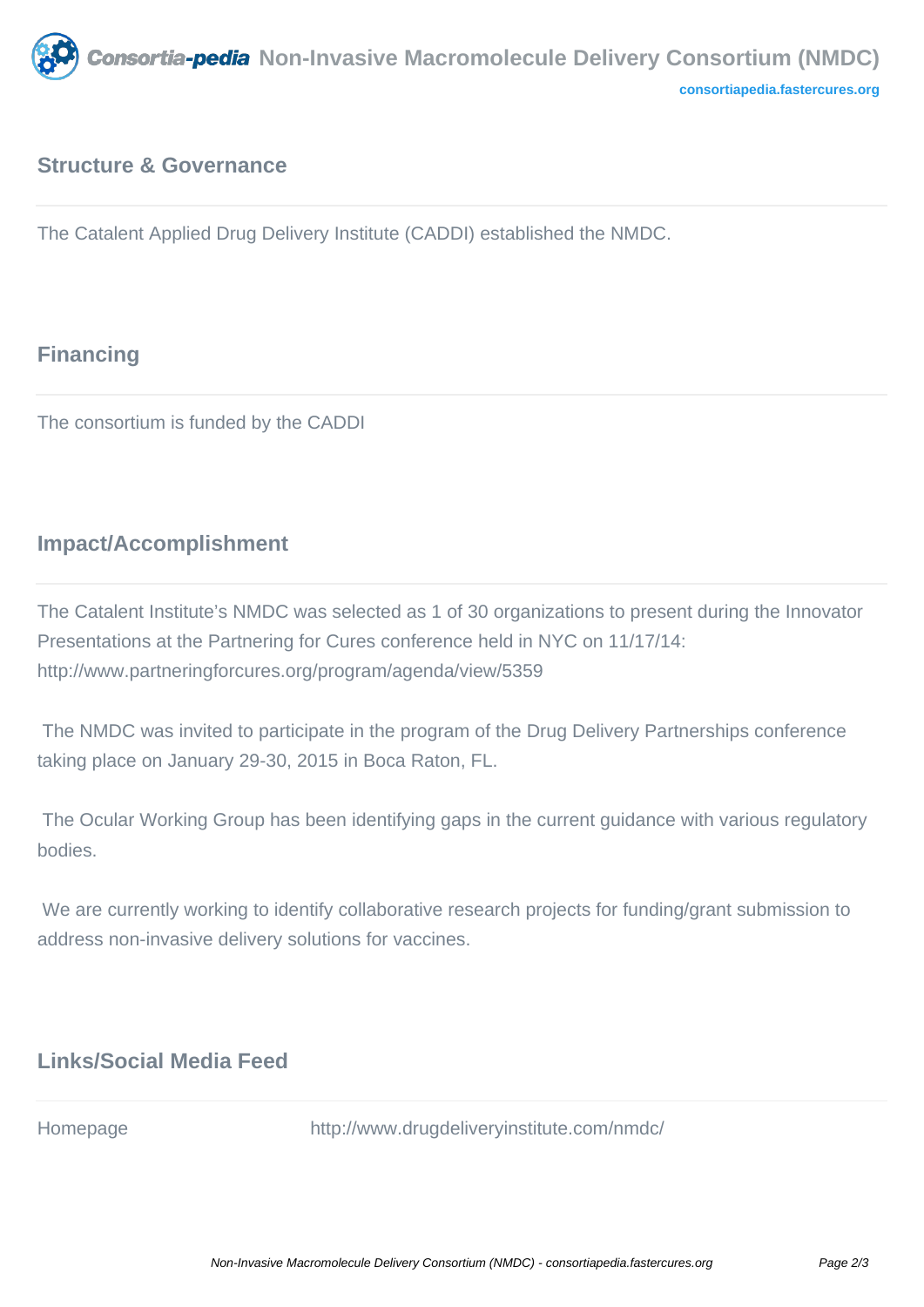

### **Structure & Governance**

The Catalent Applied Drug Delivery Institute (CADDI) established the NMDC.

# **Financing**

The consortium is funded by the CADDI

## **Impact/Accomplishment**

The Catalent Institute's NMDC was selected as 1 of 30 organizations to present during the Innovator Presentations at the Partnering for Cures conference held in NYC on 11/17/14: http://www.partneringforcures.org/program/agenda/view/5359

 The NMDC was invited to participate in the program of the Drug Delivery Partnerships conference taking place on January 29-30, 2015 in Boca Raton, FL.

 The Ocular Working Group has been identifying gaps in the current guidance with various regulatory bodies.

We are currently working to identify collaborative research projects for funding/grant submission to address non-invasive delivery solutions for vaccines.

## **Links/Social Media Feed**

Homepage http://www.drugdeliveryinstitute.com/nmdc/